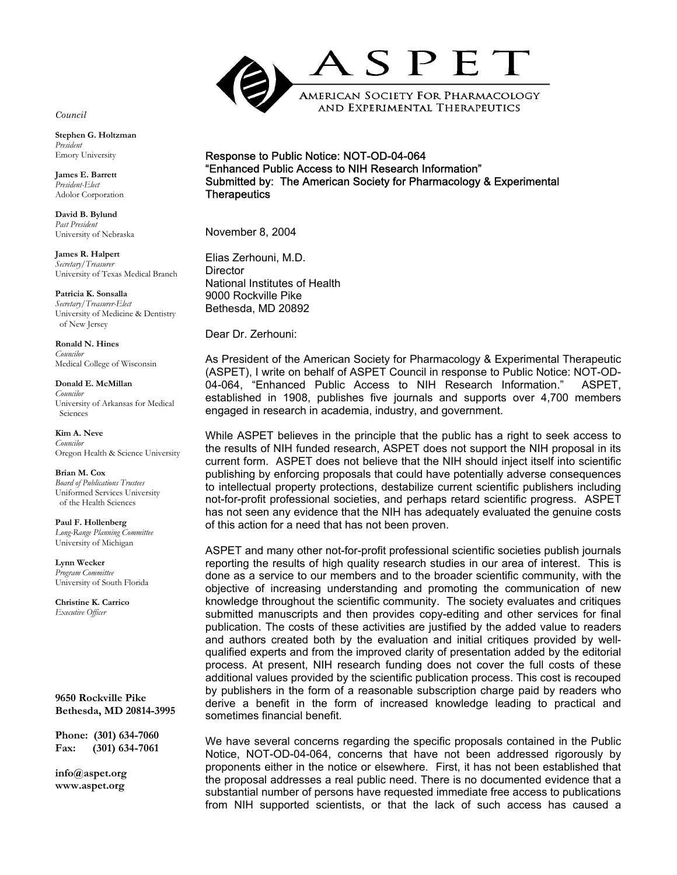

## Response to Public Notice: NOT-OD-04-064 "Enhanced Public Access to NIH Research Information" Submitted by: The American Society for Pharmacology & Experimental **Therapeutics**

November 8, 2004

Elias Zerhouni, M.D. **Director** National Institutes of Health 9000 Rockville Pike Bethesda, MD 20892

Dear Dr. Zerhouni:

As President of the American Society for Pharmacology & Experimental Therapeutic (ASPET), I write on behalf of ASPET Council in response to Public Notice: NOT-OD-04-064, "Enhanced Public Access to NIH Research Information." ASPET, established in 1908, publishes five journals and supports over 4,700 members engaged in research in academia, industry, and government.

While ASPET believes in the principle that the public has a right to seek access to the results of NIH funded research, ASPET does not support the NIH proposal in its current form. ASPET does not believe that the NIH should inject itself into scientific publishing by enforcing proposals that could have potentially adverse consequences to intellectual property protections, destabilize current scientific publishers including not-for-profit professional societies, and perhaps retard scientific progress. ASPET has not seen any evidence that the NIH has adequately evaluated the genuine costs of this action for a need that has not been proven.

ASPET and many other not-for-profit professional scientific societies publish journals reporting the results of high quality research studies in our area of interest. This is done as a service to our members and to the broader scientific community, with the objective of increasing understanding and promoting the communication of new knowledge throughout the scientific community. The society evaluates and critiques submitted manuscripts and then provides copy-editing and other services for final publication. The costs of these activities are justified by the added value to readers and authors created both by the evaluation and initial critiques provided by wellqualified experts and from the improved clarity of presentation added by the editorial process. At present, NIH research funding does not cover the full costs of these additional values provided by the scientific publication process. This cost is recouped by publishers in the form of a reasonable subscription charge paid by readers who derive a benefit in the form of increased knowledge leading to practical and sometimes financial benefit.

We have several concerns regarding the specific proposals contained in the Public Notice, NOT-OD-04-064, concerns that have not been addressed rigorously by proponents either in the notice or elsewhere. First, it has not been established that the proposal addresses a real public need. There is no documented evidence that a substantial number of persons have requested immediate free access to publications from NIH supported scientists, or that the lack of such access has caused a

*Council*

**Stephen G. Holtzman** *President* Emory University

**James E. Barrett**  *President-Elect* Adolor Corporation

**David B. Bylund** *Past President* University of Nebraska

**James R. Halpert**  *Secretary/Treasurer* University of Texas Medical Branch

**Patricia K. Sonsalla** *Secretary/Treasurer-Elect* University of Medicine & Dentistry of New Jersey

**Ronald N. Hines** *Councilor* Medical College of Wisconsin

**Donald E. McMillan** *Councilor* University of Arkansas for Medical Sciences

**Kim A. Neve**  *Councilor* Oregon Health & Science University

**Brian M. Cox**  *Board of Publications Trustees*  Uniformed Services University of the Health Sciences

**Paul F. Hollenberg** *Long-Range Planning Committee*  University of Michigan

**Lynn Wecker** *Program Committee*  University of South Florida

**Christine K. Carrico**  *Executive Officer*

**9650 Rockville Pike Bethesda, MD 20814-3995** 

**Phone: (301) 634-7060 Fax: (301) 634-7061**

**info@aspet.org www.aspet.org**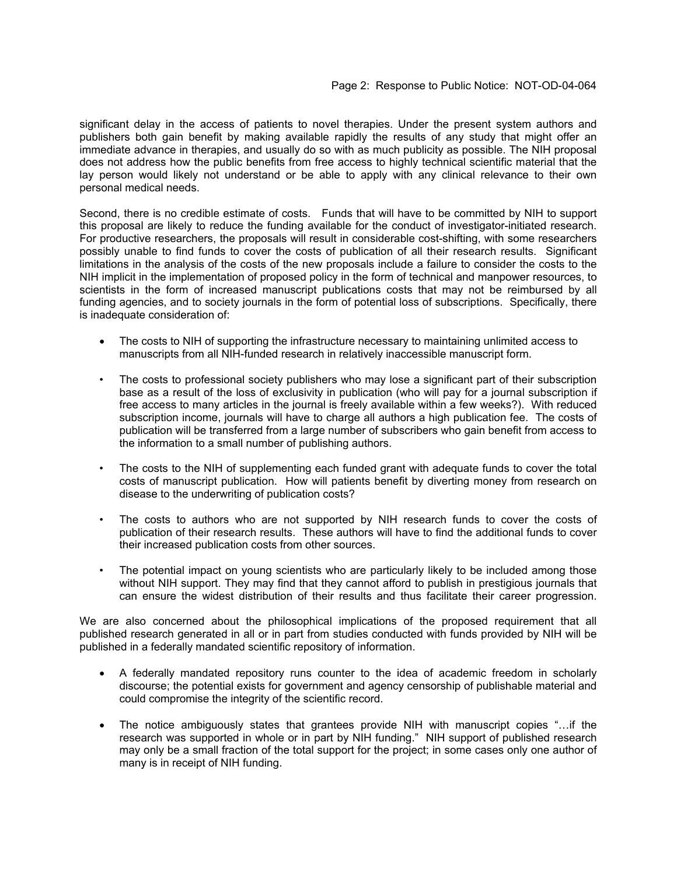significant delay in the access of patients to novel therapies. Under the present system authors and publishers both gain benefit by making available rapidly the results of any study that might offer an immediate advance in therapies, and usually do so with as much publicity as possible. The NIH proposal does not address how the public benefits from free access to highly technical scientific material that the lay person would likely not understand or be able to apply with any clinical relevance to their own personal medical needs.

Second, there is no credible estimate of costs. Funds that will have to be committed by NIH to support this proposal are likely to reduce the funding available for the conduct of investigator-initiated research. For productive researchers, the proposals will result in considerable cost-shifting, with some researchers possibly unable to find funds to cover the costs of publication of all their research results. Significant limitations in the analysis of the costs of the new proposals include a failure to consider the costs to the NIH implicit in the implementation of proposed policy in the form of technical and manpower resources, to scientists in the form of increased manuscript publications costs that may not be reimbursed by all funding agencies, and to society journals in the form of potential loss of subscriptions. Specifically, there is inadequate consideration of:

- The costs to NIH of supporting the infrastructure necessary to maintaining unlimited access to manuscripts from all NIH-funded research in relatively inaccessible manuscript form.
- The costs to professional society publishers who may lose a significant part of their subscription base as a result of the loss of exclusivity in publication (who will pay for a journal subscription if free access to many articles in the journal is freely available within a few weeks?). With reduced subscription income, journals will have to charge all authors a high publication fee. The costs of publication will be transferred from a large number of subscribers who gain benefit from access to the information to a small number of publishing authors.
- The costs to the NIH of supplementing each funded grant with adequate funds to cover the total costs of manuscript publication. How will patients benefit by diverting money from research on disease to the underwriting of publication costs?
- The costs to authors who are not supported by NIH research funds to cover the costs of publication of their research results. These authors will have to find the additional funds to cover their increased publication costs from other sources.
- The potential impact on young scientists who are particularly likely to be included among those without NIH support. They may find that they cannot afford to publish in prestigious journals that can ensure the widest distribution of their results and thus facilitate their career progression.

We are also concerned about the philosophical implications of the proposed requirement that all published research generated in all or in part from studies conducted with funds provided by NIH will be published in a federally mandated scientific repository of information.

- A federally mandated repository runs counter to the idea of academic freedom in scholarly discourse; the potential exists for government and agency censorship of publishable material and could compromise the integrity of the scientific record.
- The notice ambiguously states that grantees provide NIH with manuscript copies "...if the research was supported in whole or in part by NIH funding." NIH support of published research may only be a small fraction of the total support for the project; in some cases only one author of many is in receipt of NIH funding.